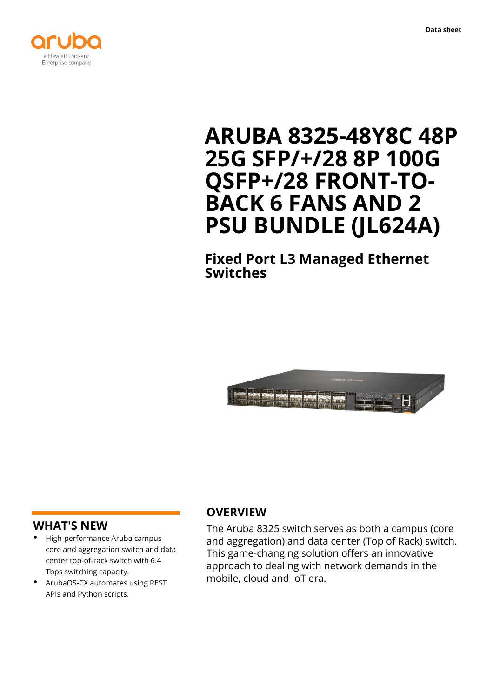



# **ARUBA 8325-48Y8C 48P 25G SFP/+/28 8P 100G QSFP+/28 FRONT-TO-BACK 6 FANS AND 2 PSU BUNDLE (JL624A)**

**Fixed Port L3 Managed Ethernet Switches**



### **WHAT'S NEW**

- **·** High-performance Aruba campus core and aggregation switch and data center top-of-rack switch with 6.4 Tbps switching capacity.
- **·** ArubaOS-CX automates using REST APIs and Python scripts.

# **OVERVIEW**

The Aruba 8325 switch serves as both a campus (core and aggregation) and data center (Top of Rack) switch. This game-changing solution offers an innovative approach to dealing with network demands in the mobile, cloud and IoT era.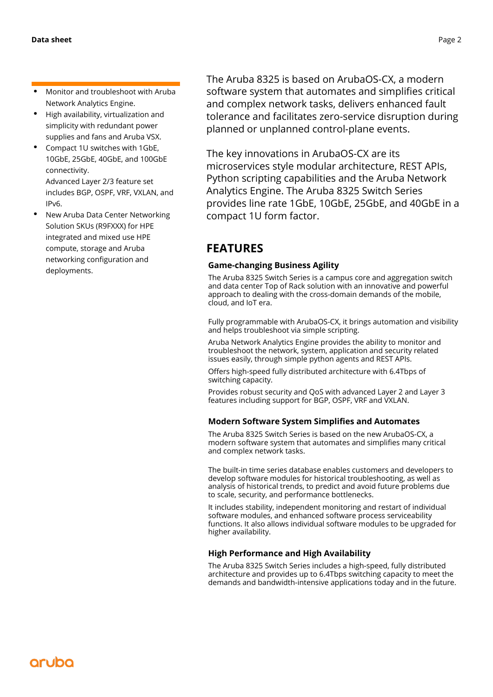- **·** Monitor and troubleshoot with Aruba Network Analytics Engine.
- **·** High availability, virtualization and simplicity with redundant power supplies and fans and Aruba VSX.
- **·** Compact 1U switches with 1GbE, 10GbE, 25GbE, 40GbE, and 100GbE connectivity. Advanced Layer 2/3 feature set includes BGP, OSPF, VRF, VXLAN, and IPv6.
- **·** New Aruba Data Center Networking Solution SKUs (R9FXXX) for HPE integrated and mixed use HPE compute, storage and Aruba networking configuration and deployments.

The Aruba 8325 is based on ArubaOS-CX, a modern software system that automates and simplifies critical and complex network tasks, delivers enhanced fault tolerance and facilitates zero-service disruption during planned or unplanned control-plane events.

The key innovations in ArubaOS-CX are its microservices style modular architecture, REST APIs, Python scripting capabilities and the Aruba Network Analytics Engine. The Aruba 8325 Switch Series provides line rate 1GbE, 10GbE, 25GbE, and 40GbE in a compact 1U form factor.

# **FEATURES**

### **Game-changing Business Agility**

The Aruba 8325 Switch Series is a campus core and aggregation switch and data center Top of Rack solution with an innovative and powerful approach to dealing with the cross-domain demands of the mobile, cloud, and IoT era.

Fully programmable with ArubaOS-CX, it brings automation and visibility and helps troubleshoot via simple scripting.

Aruba Network Analytics Engine provides the ability to monitor and troubleshoot the network, system, application and security related issues easily, through simple python agents and REST APIs.

Offers high-speed fully distributed architecture with 6.4Tbps of switching capacity.

Provides robust security and QoS with advanced Layer 2 and Layer 3 features including support for BGP, OSPF, VRF and VXLAN.

### **Modern Software System Simplifies and Automates**

The Aruba 8325 Switch Series is based on the new ArubaOS-CX, a modern software system that automates and simplifies many critical and complex network tasks.

The built-in time series database enables customers and developers to develop software modules for historical troubleshooting, as well as analysis of historical trends, to predict and avoid future problems due to scale, security, and performance bottlenecks.

It includes stability, independent monitoring and restart of individual software modules, and enhanced software process serviceability functions. It also allows individual software modules to be upgraded for higher availability.

### **High Performance and High Availability**

The Aruba 8325 Switch Series includes a high-speed, fully distributed architecture and provides up to 6.4Tbps switching capacity to meet the demands and bandwidth-intensive applications today and in the future.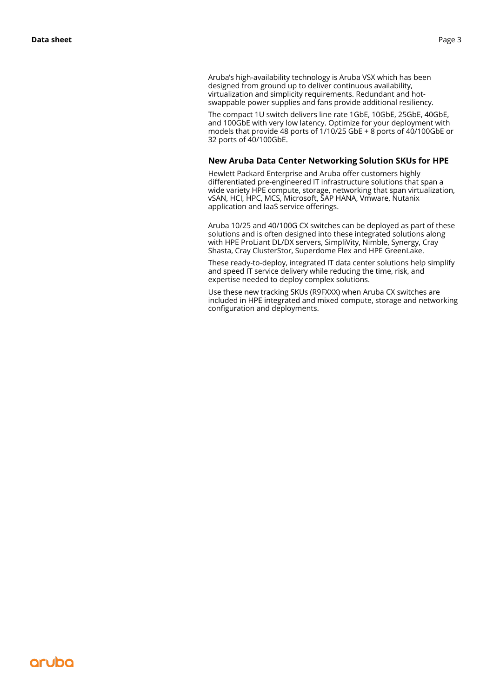Aruba's high-availability technology is Aruba VSX which has been designed from ground up to deliver continuous availability, virtualization and simplicity requirements. Redundant and hotswappable power supplies and fans provide additional resiliency.

The compact 1U switch delivers line rate 1GbE, 10GbE, 25GbE, 40GbE, and 100GbE with very low latency. Optimize for your deployment with models that provide 48 ports of 1/10/25 GbE + 8 ports of 40/100GbE or 32 ports of 40/100GbE.

#### **New Aruba Data Center Networking Solution SKUs for HPE**

Hewlett Packard Enterprise and Aruba offer customers highly differentiated pre-engineered IT infrastructure solutions that span a wide variety HPE compute, storage, networking that span virtualization, vSAN, HCI, HPC, MCS, Microsoft, SAP HANA, Vmware, Nutanix application and IaaS service offerings.

Aruba 10/25 and 40/100G CX switches can be deployed as part of these solutions and is often designed into these integrated solutions along with HPE ProLiant DL/DX servers, SimpliVity, Nimble, Synergy, Cray Shasta, Cray ClusterStor, Superdome Flex and HPE GreenLake.

These ready-to-deploy, integrated IT data center solutions help simplify and speed IT service delivery while reducing the time, risk, and expertise needed to deploy complex solutions.

Use these new tracking SKUs (R9FXXX) when Aruba CX switches are included in HPE integrated and mixed compute, storage and networking configuration and deployments.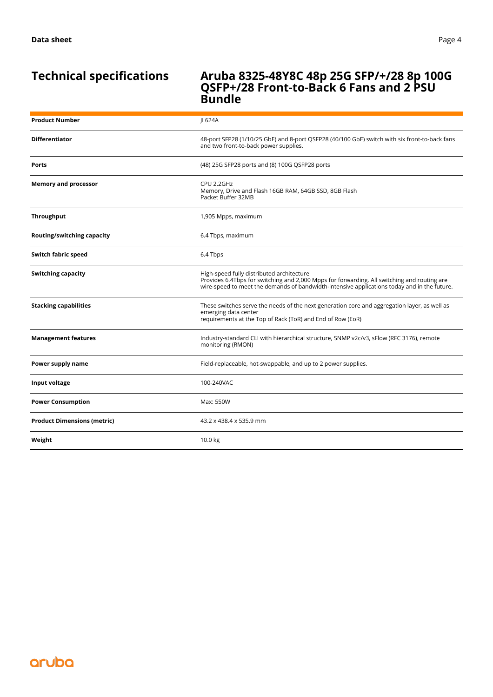### **Technical specifications Aruba 8325-48Y8C 48p 25G SFP/+/28 8p 100G QSFP+/28 Front-to-Back 6 Fans and 2 PSU Bundle**

| <b>Product Number</b>              | JL624A                                                                                                                                                                                                                                  |
|------------------------------------|-----------------------------------------------------------------------------------------------------------------------------------------------------------------------------------------------------------------------------------------|
| <b>Differentiator</b>              | 48-port SFP28 (1/10/25 GbE) and 8-port QSFP28 (40/100 GbE) switch with six front-to-back fans<br>and two front-to-back power supplies.                                                                                                  |
| Ports                              | (48) 25G SFP28 ports and (8) 100G QSFP28 ports                                                                                                                                                                                          |
| <b>Memory and processor</b>        | CPU 2.2GHz<br>Memory, Drive and Flash 16GB RAM, 64GB SSD, 8GB Flash<br>Packet Buffer 32MB                                                                                                                                               |
| <b>Throughput</b>                  | 1,905 Mpps, maximum                                                                                                                                                                                                                     |
| Routing/switching capacity         | 6.4 Tbps, maximum                                                                                                                                                                                                                       |
| Switch fabric speed                | 6.4 Tbps                                                                                                                                                                                                                                |
| <b>Switching capacity</b>          | High-speed fully distributed architecture<br>Provides 6.4Tbps for switching and 2,000 Mpps for forwarding. All switching and routing are<br>wire-speed to meet the demands of bandwidth-intensive applications today and in the future. |
| <b>Stacking capabilities</b>       | These switches serve the needs of the next generation core and aggregation layer, as well as<br>emerging data center<br>requirements at the Top of Rack (ToR) and End of Row (EoR)                                                      |
| <b>Management features</b>         | Industry-standard CLI with hierarchical structure, SNMP v2c/v3, sFlow (RFC 3176), remote<br>monitoring (RMON)                                                                                                                           |
| Power supply name                  | Field-replaceable, hot-swappable, and up to 2 power supplies.                                                                                                                                                                           |
| Input voltage                      | 100-240VAC                                                                                                                                                                                                                              |
| <b>Power Consumption</b>           | Max: 550W                                                                                                                                                                                                                               |
| <b>Product Dimensions (metric)</b> | 43.2 x 438.4 x 535.9 mm                                                                                                                                                                                                                 |
| Weight                             | 10.0 kg                                                                                                                                                                                                                                 |